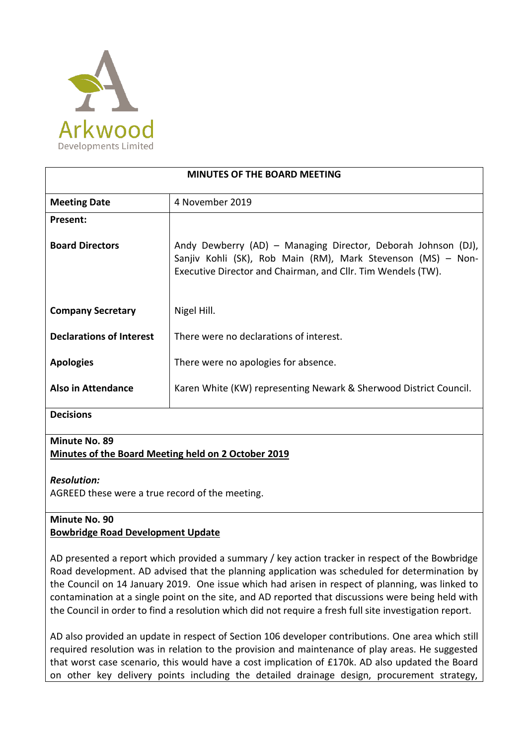

| <b>MINUTES OF THE BOARD MEETING</b> |                                                                                                                                                                                               |
|-------------------------------------|-----------------------------------------------------------------------------------------------------------------------------------------------------------------------------------------------|
| <b>Meeting Date</b>                 | 4 November 2019                                                                                                                                                                               |
| Present:                            |                                                                                                                                                                                               |
| <b>Board Directors</b>              | Andy Dewberry (AD) – Managing Director, Deborah Johnson (DJ),<br>Sanjiv Kohli (SK), Rob Main (RM), Mark Stevenson (MS) - Non-<br>Executive Director and Chairman, and Cllr. Tim Wendels (TW). |
| <b>Company Secretary</b>            | Nigel Hill.                                                                                                                                                                                   |
| <b>Declarations of Interest</b>     | There were no declarations of interest.                                                                                                                                                       |
| <b>Apologies</b>                    | There were no apologies for absence.                                                                                                                                                          |
| Also in Attendance                  | Karen White (KW) representing Newark & Sherwood District Council.                                                                                                                             |
| <b>Decisions</b>                    |                                                                                                                                                                                               |

### **Minute No. 89 Minutes of the Board Meeting held on 2 October 2019**

# *Resolution:*

AGREED these were a true record of the meeting.

# **Minute No. 90 Bowbridge Road Development Update**

AD presented a report which provided a summary / key action tracker in respect of the Bowbridge Road development. AD advised that the planning application was scheduled for determination by the Council on 14 January 2019. One issue which had arisen in respect of planning, was linked to contamination at a single point on the site, and AD reported that discussions were being held with the Council in order to find a resolution which did not require a fresh full site investigation report.

AD also provided an update in respect of Section 106 developer contributions. One area which still required resolution was in relation to the provision and maintenance of play areas. He suggested that worst case scenario, this would have a cost implication of £170k. AD also updated the Board on other key delivery points including the detailed drainage design, procurement strategy,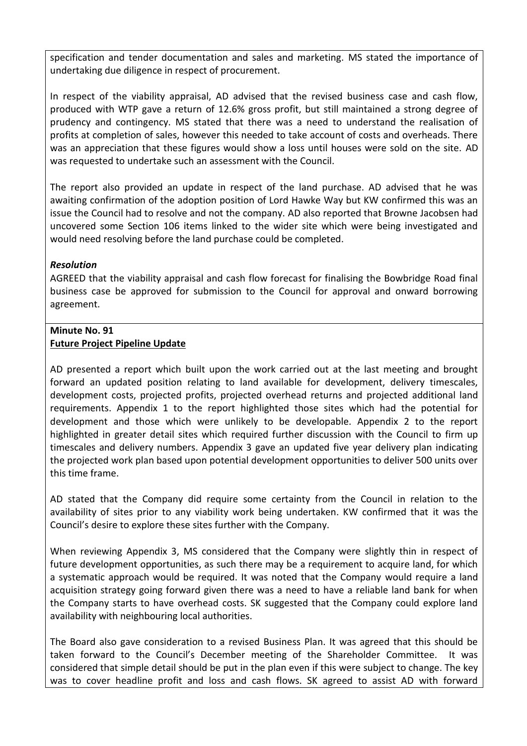specification and tender documentation and sales and marketing. MS stated the importance of undertaking due diligence in respect of procurement.

In respect of the viability appraisal, AD advised that the revised business case and cash flow, produced with WTP gave a return of 12.6% gross profit, but still maintained a strong degree of prudency and contingency. MS stated that there was a need to understand the realisation of profits at completion of sales, however this needed to take account of costs and overheads. There was an appreciation that these figures would show a loss until houses were sold on the site. AD was requested to undertake such an assessment with the Council.

The report also provided an update in respect of the land purchase. AD advised that he was awaiting confirmation of the adoption position of Lord Hawke Way but KW confirmed this was an issue the Council had to resolve and not the company. AD also reported that Browne Jacobsen had uncovered some Section 106 items linked to the wider site which were being investigated and would need resolving before the land purchase could be completed.

### *Resolution*

AGREED that the viability appraisal and cash flow forecast for finalising the Bowbridge Road final business case be approved for submission to the Council for approval and onward borrowing agreement.

#### **Minute No. 91 Future Project Pipeline Update**

AD presented a report which built upon the work carried out at the last meeting and brought forward an updated position relating to land available for development, delivery timescales, development costs, projected profits, projected overhead returns and projected additional land requirements. Appendix 1 to the report highlighted those sites which had the potential for development and those which were unlikely to be developable. Appendix 2 to the report highlighted in greater detail sites which required further discussion with the Council to firm up timescales and delivery numbers. Appendix 3 gave an updated five year delivery plan indicating the projected work plan based upon potential development opportunities to deliver 500 units over this time frame.

AD stated that the Company did require some certainty from the Council in relation to the availability of sites prior to any viability work being undertaken. KW confirmed that it was the Council's desire to explore these sites further with the Company.

When reviewing Appendix 3, MS considered that the Company were slightly thin in respect of future development opportunities, as such there may be a requirement to acquire land, for which a systematic approach would be required. It was noted that the Company would require a land acquisition strategy going forward given there was a need to have a reliable land bank for when the Company starts to have overhead costs. SK suggested that the Company could explore land availability with neighbouring local authorities.

The Board also gave consideration to a revised Business Plan. It was agreed that this should be taken forward to the Council's December meeting of the Shareholder Committee. It was considered that simple detail should be put in the plan even if this were subject to change. The key was to cover headline profit and loss and cash flows. SK agreed to assist AD with forward